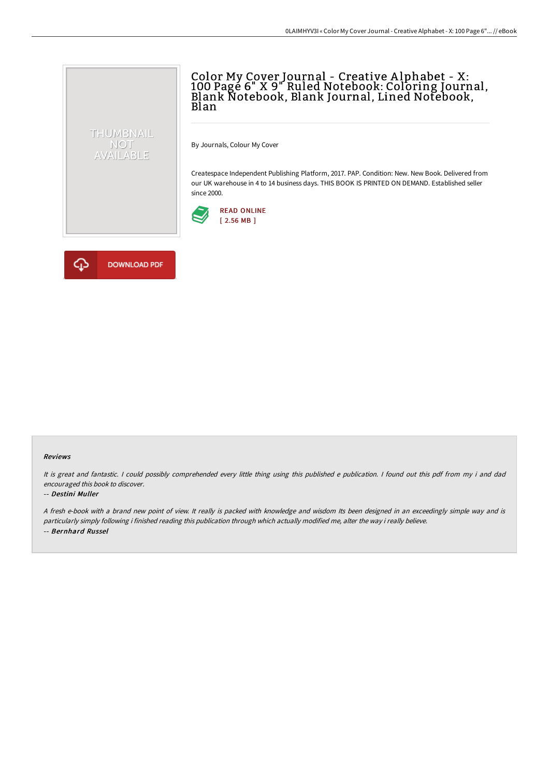## Color My Cover Journal - Creative A lphabet - X: 100 Page 6" X 9" Ruled Notebook: Coloring Journal, Blank Notebook, Blank Journal, Lined Notebook, Blan

By Journals, Colour My Cover

Createspace Independent Publishing Platform, 2017. PAP. Condition: New. New Book. Delivered from our UK warehouse in 4 to 14 business days. THIS BOOK IS PRINTED ON DEMAND. Established seller since 2000.





THUMBNAIL NOT<br>AVAILABLE

#### Reviews

It is great and fantastic. <sup>I</sup> could possibly comprehended every little thing using this published <sup>e</sup> publication. <sup>I</sup> found out this pdf from my i and dad encouraged this book to discover.

#### -- Destini Muller

<sup>A</sup> fresh e-book with <sup>a</sup> brand new point of view. It really is packed with knowledge and wisdom Its been designed in an exceedingly simple way and is particularly simply following i finished reading this publication through which actually modified me, alter the way i really believe. -- Bernhard Russel